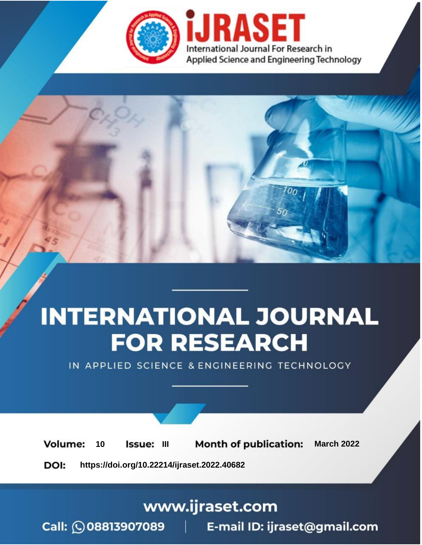

# **INTERNATIONAL JOURNAL FOR RESEARCH**

IN APPLIED SCIENCE & ENGINEERING TECHNOLOGY

**Month of publication: Volume:** 10 Issue: III **March 2022** DOI: https://doi.org/10.22214/ijraset.2022.40682

www.ijraset.com

Call: 008813907089 | E-mail ID: ijraset@gmail.com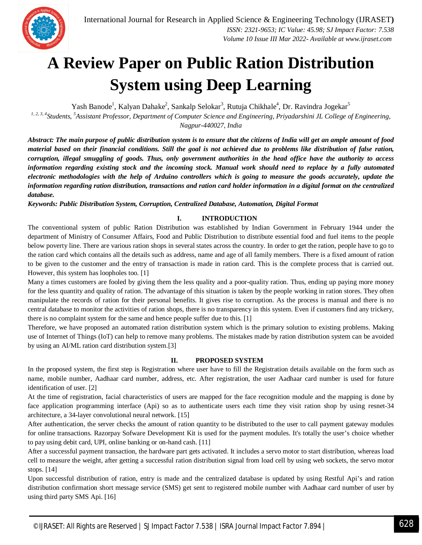

### **A Review Paper on Public Ration Distribution System using Deep Learning**

Yash Banode<sup>1</sup>, Kalyan Dahake<sup>2</sup>, Sankalp Selokar<sup>3</sup>, Rutuja Chikhale<sup>4</sup>, Dr. Ravindra Jogekar<sup>5</sup>

<sup>1, 2, 3, 4</sup> Students, <sup>5</sup> Assistant Professor, Department of Computer Science and Engineering, Priyadarshini JL College of Engineering, *Nagpur-440027, India*

*Abstract: The main purpose of public distribution system is to ensure that the citizens of India will get an ample amount of food material based on their financial conditions. Still the goal is not achieved due to problems like distribution of false ration, corruption, illegal smuggling of goods. Thus, only government authorities in the head office have the authority to access information regarding existing stock and the incoming stock. Manual work should need to replace by a fully automated electronic methodologies with the help of Arduino controllers which is going to measure the goods accurately, update the information regarding ration distribution, transactions and ration card holder information in a digital format on the centralized database.*

*Keywords: Public Distribution System, Corruption, Centralized Database, Automation, Digital Format*

#### **I. INTRODUCTION**

The conventional system of public Ration Distribution was established by Indian Government in February 1944 under the department of Ministry of Consumer Affairs, Food and Public Distribution to distribute essential food and fuel items to the people below poverty line. There are various ration shops in several states across the country. In order to get the ration, people have to go to the ration card which contains all the details such as address, name and age of all family members. There is a fixed amount of ration to be given to the customer and the entry of transaction is made in ration card. This is the complete process that is carried out. However, this system has loopholes too. [1]

Many a times customers are fooled by giving them the less quality and a poor-quality ration. Thus, ending up paying more money for the less quantity and quality of ration. The advantage of this situation is taken by the people working in ration stores. They often manipulate the records of ration for their personal benefits. It gives rise to corruption. As the process is manual and there is no central database to monitor the activities of ration shops, there is no transparency in this system. Even if customers find any trickery, there is no complaint system for the same and hence people suffer due to this. [1]

Therefore, we have proposed an automated ration distribution system which is the primary solution to existing problems. Making use of Internet of Things (IoT) can help to remove many problems. The mistakes made by ration distribution system can be avoided by using an AI/ML ration card distribution system.[3]

#### **II. PROPOSED SYSTEM**

In the proposed system, the first step is Registration where user have to fill the Registration details available on the form such as name, mobile number, Aadhaar card number, address, etc. After registration, the user Aadhaar card number is used for future identification of user. [2]

At the time of registration, facial characteristics of users are mapped for the face recognition module and the mapping is done by face application programming interface (Api) so as to authenticate users each time they visit ration shop by using resnet-34 architecture, a 34-layer convolutional neural network. [15]

After authentication, the server checks the amount of ration quantity to be distributed to the user to call payment gateway modules for online transactions. Razorpay Sofware Development Kit is used for the payment modules. It's totally the user's choice whether to pay using debit card, UPI, online banking or on-hand cash. [11]

After a successful payment transaction, the hardware part gets activated. It includes a servo motor to start distribution, whereas load cell to measure the weight, after getting a successful ration distribution signal from load cell by using web sockets, the servo motor stops. [14]

Upon successful distribution of ration, entry is made and the centralized database is updated by using Restful Api's and ration distribution confirmation short message service (SMS) get sent to registered mobile number with Aadhaar card number of user by using third party SMS Api. [16]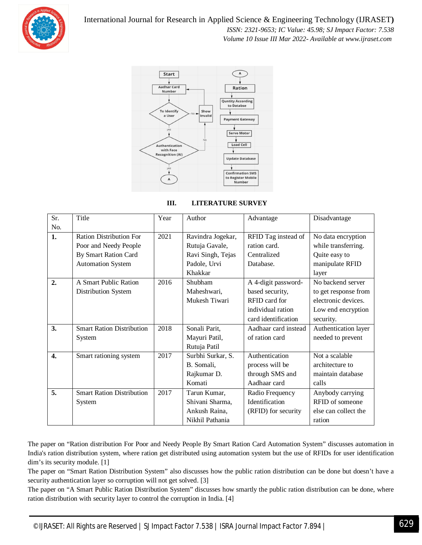

International Journal for Research in Applied Science & Engineering Technology (IJRASET**)**  *ISSN: 2321-9653; IC Value: 45.98; SJ Impact Factor: 7.538 Volume 10 Issue III Mar 2022- Available at www.ijraset.com*



| III. | <b>LITERATURE SURVEY</b> |
|------|--------------------------|
|      |                          |

| Sr.              | Title                            | Year | Author            | Advantage            | Disadvantage         |
|------------------|----------------------------------|------|-------------------|----------------------|----------------------|
| No.              |                                  |      |                   |                      |                      |
| 1.               | <b>Ration Distribution For</b>   | 2021 | Ravindra Jogekar, | RFID Tag instead of  | No data encryption   |
|                  | Poor and Needy People            |      | Rutuja Gavale,    | ration card.         | while transferring.  |
|                  | By Smart Ration Card             |      | Ravi Singh, Tejas | Centralized          | Quite easy to        |
|                  | <b>Automation System</b>         |      | Padole, Urvi      | Database.            | manipulate RFID      |
|                  |                                  |      | Khakkar           |                      | layer                |
| 2.               | A Smart Public Ration            | 2016 | Shubham           | A 4-digit password-  | No backend server    |
|                  | Distribution System              |      | Maheshwari,       | based security,      | to get response from |
|                  |                                  |      | Mukesh Tiwari     | RFID card for        | electronic devices.  |
|                  |                                  |      |                   | individual ration    | Low end encryption   |
|                  |                                  |      |                   | card identification  | security.            |
| 3.               | <b>Smart Ration Distribution</b> | 2018 | Sonali Parit,     | Aadhaar card instead | Authentication layer |
|                  | System                           |      | Mayuri Patil,     | of ration card       | needed to prevent    |
|                  |                                  |      | Rutuja Patil      |                      |                      |
| $\overline{4}$ . | Smart rationing system           | 2017 | Surbhi Surkar, S. | Authentication       | Not a scalable       |
|                  |                                  |      | B. Somali,        | process will be      | architecture to      |
|                  |                                  |      | Rajkumar D.       | through SMS and      | maintain database    |
|                  |                                  |      | Komati            | Aadhaar card         | calls                |
| 5.               | <b>Smart Ration Distribution</b> | 2017 | Tarun Kumar,      | Radio Frequency      | Anybody carrying     |
|                  | System                           |      | Shivani Sharma,   | Identification       | RFID of someone      |
|                  |                                  |      | Ankush Raina,     | (RFID) for security  | else can collect the |
|                  |                                  |      | Nikhil Pathania   |                      | ration               |

The paper on "Ration distribution For Poor and Needy People By Smart Ration Card Automation System" discusses automation in India's ration distribution system, where ration get distributed using automation system but the use of RFIDs for user identification dim's its security module. [1]

The paper on "Smart Ration Distribution System" also discusses how the public ration distribution can be done but doesn't have a security authentication layer so corruption will not get solved. [3]

The paper on "A Smart Public Ration Distribution System" discusses how smartly the public ration distribution can be done, where ration distribution with security layer to control the corruption in India. [4]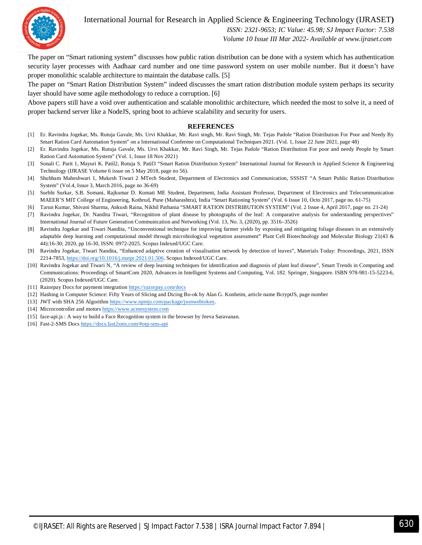International Journal for Research in Applied Science & Engineering Technology (IJRASET**)**



 *ISSN: 2321-9653; IC Value: 45.98; SJ Impact Factor: 7.538 Volume 10 Issue III Mar 2022- Available at www.ijraset.com*

The paper on "Smart rationing system" discusses how public ration distribution can be done with a system which has authentication security layer processes with Aadhaar card number and one time password system on user mobile number. But it doesn't have proper monolithic scalable architecture to maintain the database calls. [5]

The paper on "Smart Ration Distribution System" indeed discusses the smart ration distribution module system perhaps its security layer should have some agile methodology to reduce a corruption. [6]

Above papers still have a void over authentication and scalable monolithic architecture, which needed the most to solve it, a need of proper backend server like a NodeJS, spring boot to achieve scalability and security for users.

#### **REFERENCES**

- [1] Er. Ravindra Jogekar, Ms. Rutuja Gavale, Ms. Urvi Khakkar, Mr. Ravi singh, Mr. Ravi Singh, Mr. Tejas Padole "Ration Distribution For Poor and Needy By Smart Ration Card Automation System" on a International Conferene on Computational Techniques 2021. (Vol. 1, Issue 22 June 2021, page 48)
- [2] Er. Ravindra Jogekar, Ms. Rutuja Gavale, Ms. Urvi Khakkar, Mr. Ravi Singh, Mr. Tejas Padole "Ration Distribution For poor and needy People by Smart Ration Card Automation System" (Vol. 1, Issue 18 Nov 2021)
- [3] Sonali C. Parit 1, Mayuri K. Patil2, Rutuja S. Patil3 "Smart Ration Distribution System" International Journal for Research in Applied Science & Engineering Technology (IJRASE Volume 6 issue on 5 May 2018, page no 56).
- [4] Shubham Maheshwari 1, Mukesh Tiwari 2 MTech Student, Department of Electronics and Communication, SSSIST "A Smart Public Ration Distribution System" (Vol.4, Issue 3, March 2016, page no 36-69)
- [5] Surbhi Surkar, S.B. Somani, Rajkumar D. Komati ME Student, Department, India Assistant Professor, Department of Electronics and Telecommunication MAEER'S MIT College of Engineering, Kothrud, Pune (Maharashtra), India "Smart Rationing System" (Vol. 6 Issue 10, Octo 2017, page no. 61-75)
- [6] Tarun Kumar, Shivani Sharma, Ankush Raina, Nikhil Pathania "SMART RATION DISTRIBUTION SYSTEM" (Vol. 2 Issue 4, April 2017, page no. 21-24)
- [7] Ravindra Jogekar, Dr. Nandita Tiwari, "Recognition of plant disease by photographs of the leaf: A comparative analysis for understanding perspectives" International Journal of Future Generation Communication and Networking (Vol. 13, No. 3, (2020), pp. 3516–3526)
- [8] Ravindra Jogekar and Tiwari Nandita, "Unconventional technique for improving farmer yields by exposing and mitigating foliage diseases in an extensively adaptable deep learning and computational model through microbiological vegetation assessment" Plant Cell Biotechnology and Molecular Biology 21(43 & 44):16-30; 2020, pp 16-30, ISSN: 0972-2025. Scopus Indexed/UGC Care.
- [9] Ravindra Jogekar, Tiwari Nandita, "Enhanced adaptive creation of visualisation network by detection of leaves", Materials Today: Proceedings, 2021, ISSN 2214-7853, https://doi.org/10.1016/j.matpr.2021.01.506. Scopus Indexed/UGC Care.
- [10] Ravindra Jogekar and Tiwari N, "A review of deep learning techniques for identification and diagnosis of plant leaf disease", Smart Trends in Computing and Communications: Proceedings of SmartCom 2020, Advances in Intelligent Systems and Computing, Vol. 182. Springer, Singapore. ISBN 978-981-15-5223-6, (2020). Scopus Indexed/UGC Care.
- [11] Razorpay Docs for payment integration https://razorpay.com/docs
- [12] Hashing in Computer Science: Fifty Years of Slicing and Dicing Bo-ok by Alan G. Konheim, article name BcryptJS, page number
- [13] JWT with SHA 256 Algorithm https://www.npmjs.com/package/jsonwebtoken.
- [14] Microcontroller and motors https://www.acmesystem.com
- [15] face-api.js : A way to build a Face Recognition system in the browser by Jeeva Saravanan.
- [16] Fast-2-SMS Docs https://docs.fast2sms.com/#otp-sms-api